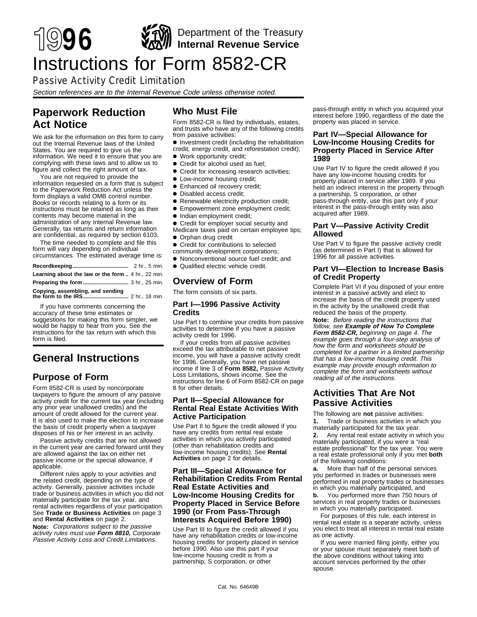

# Instructions for Form 8582-CR

### Passive Activity Credit Limitation

Section references are to the Internal Revenue Code unless otherwise noted.

### **Paperwork Reduction Act Notice**

We ask for the information on this form to carry out the Internal Revenue laws of the United States. You are required to give us the information. We need it to ensure that you are complying with these laws and to allow us to figure and collect the right amount of tax.

You are not required to provide the information requested on a form that is subject to the Paperwork Reduction Act unless the form displays a valid OMB control number. Books or records relating to a form or its instructions must be retained as long as their contents may become material in the administration of any Internal Revenue law. Generally, tax returns and return information are confidential, as required by section 6103.

The time needed to complete and file this form will vary depending on individual circumstances. The estimated average time is:

**Recordkeeping .....................................** 2 hr., 5 min. **Learning about the law or the form ..** 4 hr., 22 min. **Preparing the form ..............................** 3 hr., 25 min. **Copying, assembling, and sending**

If you have comments concerning the the form to the **IRS....** 

accuracy of these time estimates or suggestions for making this form simpler, we would be happy to hear from you. See the instructions for the tax return with which this form is filed.

## **General Instructions**

### **Purpose of Form**

Form 8582-CR is used by noncorporate taxpayers to figure the amount of any passive activity credit for the current tax year (including any prior year unallowed credits) and the amount of credit allowed for the current year. It is also used to make the election to increase the basis of credit property when a taxpayer disposes of his or her interest in an activity.

Passive activity credits that are not allowed in the current year are carried forward until they are allowed against the tax on either net passive income or the special allowance, if applicable.

Different rules apply to your activities and the related credit, depending on the type of activity. Generally, passive activities include trade or business activities in which you did not materially participate for the tax year, and rental activities regardless of your participation. See **Trade or Business Activities** on page 3 and **Rental Activities** on page 2.

**Note:** Corporations subject to the passive activity rules must use **Form 8810,** Corporate Passive Activity Loss and Credit Limitations.

### **Who Must File**

Form 8582-CR is filed by individuals, estates, and trusts who have any of the following credits from passive activities:

- **•** Investment credit (including the rehabilitation credit, energy credit, and reforestation credit);
- Work opportunity credit;
- Credit for alcohol used as fuel;
- Credit for increasing research activities;
- Low-income housing credit;
- **•** Enhanced oil recovery credit;
- ●A Disabled access credit;
- ●A Renewable electricity production credit;
- **•** Empowerment zone employment credit;
- Indian employment credit;
- Credit for employer social security and Medicare taxes paid on certain employee tips;
- Orphan drug credit
- **•** Credit for contributions to selected
- community development corporations;
- ●A Nonconventional source fuel credit; and
- Qualified electric vehicle credit

### **Overview of Form**

The form consists of six parts.

### **Part I—1996 Passive Activity Credits**

Use Part I to combine your credits from passive activities to determine if you have a passive activity credit for 1996.

If your credits from all passive activities exceed the tax attributable to net passive income, you will have a passive activity credit for 1996. Generally, you have net passive income if line 3 of **Form 8582,** Passive Activity Loss Limitations, shows income. See the instructions for line 6 of Form 8582-CR on page 8 for other details.

#### **Part II—Special Allowance for Rental Real Estate Activities With Active Participation**

Use Part II to figure the credit allowed if you have any credits from rental real estate activities in which you actively participated (other than rehabilitation credits and low-income housing credits). See **Rental Activities** on page 2 for details.

#### **Part III—Special Allowance for Rehabilitation Credits From Rental Real Estate Activities and Low-Income Housing Credits for Property Placed in Service Before 1990 (or From Pass-Through Interests Acquired Before 1990)**

Use Part III to figure the credit allowed if you have any rehabilitation credits or low-income housing credits for property placed in service before 1990. Also use this part if your low-income housing credit is from a partnership, S corporation, or other

pass-through entity in which you acquired your interest before 1990, regardless of the date the property was placed in service.

#### **Part IV—Special Allowance for Low-Income Housing Credits for Property Placed in Service After 1989**

Use Part IV to figure the credit allowed if you have any low-income housing credits for property placed in service after 1989. If you held an indirect interest in the property through a partnership, S corporation, or other pass-through entity, use this part only if your interest in the pass-through entity was also acquired after 1989.

### **Part V—Passive Activity Credit Allowed**

Use Part V to figure the passive activity credit (as determined in Part I) that is allowed for 1996 for all passive activities.

#### **Part VI—Election to Increase Basis of Credit Property**

Complete Part VI if you disposed of your entire interest in a passive activity and elect to increase the basis of the credit property used in the activity by the unallowed credit that reduced the basis of the property.

**Note:** Before reading the instructions that follow, see **Example of How To Complete Form 8582-CR,** beginning on page 4. The example goes through a four-step analysis of how the form and worksheets should be completed for a partner in a limited partnership that has a low-income housing credit. This example may provide enough information to complete the form and worksheets without reading all of the instructions.

### **Activities That Are Not Passive Activities**

The following are **not** passive activities:

 **1.** Trade or business activities in which you materially participated for the tax year.

 **2.** Any rental real estate activity in which you materially participated, if you were a "real estate professional" for the tax year. You were a real estate professional only if you met **both** of the following conditions:

 **a.** More than half of the personal services you performed in trades or businesses were performed in real property trades or businesses in which you materially participated, and

**b.** You performed more than 750 hours of services in real property trades or businesses in which you materially participated.

For purposes of this rule, each interest in rental real estate is a separate activity, unless you elect to treat all interest in rental real estate as one activity.

If you were married filing jointly, either you or your spouse must separately meet both of the above conditions without taking into account services performed by the other spouse.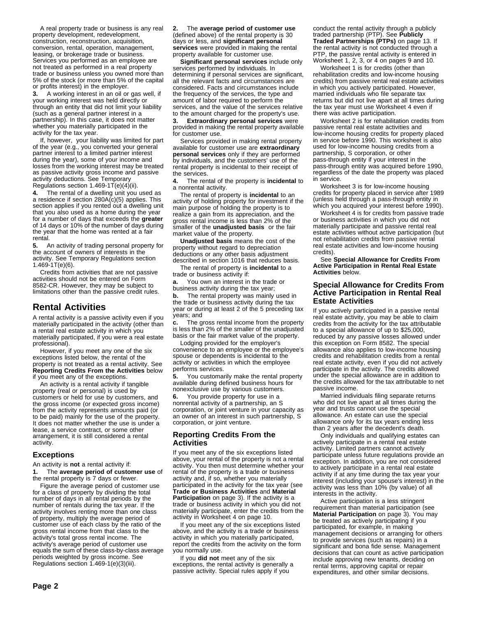A real property trade or business is any real property development, redevelopment, construction, reconstruction, acquisition, conversion, rental, operation, management, leasing, or brokerage trade or business. Services you performed as an employee are not treated as performed in a real property trade or business unless you owned more than 5% of the stock (or more than 5% of the capital or profits interest) in the employer.

 **3.** A working interest in an oil or gas well, if your working interest was held directly or through an entity that did not limit your liability (such as a general partner interest in a partnership). In this case, it does not matter whether you materially participated in the activity for the tax year.

If, however, your liability was limited for part of the year (e.g., you converted your general partner interest to a limited partner interest during the year), some of your income and losses from the working interest may be treated as passive activity gross income and passive activity deductions. See Temporary Regulations section 1.469-1T(e)(4)(ii).

 **4.** The rental of a dwelling unit you used as a residence if section 280A(c)(5) applies. This section applies if you rented out a dwelling unit that you also used as a home during the year for a number of days that exceeds the **greater** of 14 days or 10% of the number of days during the year that the home was rented at a fair rental.

 **5.** An activity of trading personal property for the account of owners of interests in the activity. See Temporary Regulations section  $1.469 - 1T(e)(6)$ .

Credits from activities that are not passive activities should not be entered on Form 8582-CR. However, they may be subject to limitations other than the passive credit rules.

### **Rental Activities**

A rental activity is a passive activity even if you materially participated in the activity (other than a rental real estate activity in which you materially participated, if you were a real estate professional).

However, if you meet any one of the six exceptions listed below, the rental of the property is not treated as a rental activity. See **Reporting Credits From the Activities** below if you meet any of the exceptions.

An activity is a rental activity if tangible property (real or personal) is used by customers or held for use by customers, and the gross income (or expected gross income) from the activity represents amounts paid (or to be paid) mainly for the use of the property. It does not matter whether the use is under a lease, a service contract, or some other arrangement, it is still considered a rental activity.

### **Exceptions**

An activity is **not** a rental activity if:

 **1.** The **average period of customer use** of the rental property is 7 days or fewer.

Figure the average period of customer use for a class of property by dividing the total number of days in all rental periods by the number of rentals during the tax year. If the activity involves renting more than one class of property, multiply the average period of customer use of each class by the ratio of the gross rental income from that class to the activity's total gross rental income. The activity's average period of customer use equals the sum of these class-by-class average periods weighted by gross income. See Regulations section 1.469-1(e)(3)(iii).

 **2.** The **average period of customer use** (defined above) of the rental property is 30 days or less, and **significant personal services** were provided in making the rental property available for customer use.

**Significant personal services** include only services performed by individuals. In determining if personal services are significant, all the relevant facts and circumstances are considered. Facts and circumstances include the frequency of the services, the type and amount of labor required to perform the services, and the value of the services relative to the amount charged for the property's use.

 **3. Extraordinary personal services** were provided in making the rental property available for customer use.

Services provided in making rental property available for customer use are **extraordinary personal services** only if they are performed by individuals, and the customers' use of the rental property is incidental to their receipt of the services.

 **4.** The rental of the property is **incidental** to a nonrental activity.

The rental of property is **incidental** to an activity of holding property for investment if the main purpose of holding the property is to realize a gain from its appreciation, and the gross rental income is less than 2% of the smaller of the **unadjusted basis** or the fair market value of the property.

**Unadjusted basis** means the cost of the property without regard to depreciation deductions or any other basis adjustment described in section 1016 that reduces basis.

The rental of property is **incidental** to a trade or business activity if:

 **a.** You own an interest in the trade or business activity during the tax year;

**b.** The rental property was mainly used in the trade or business activity during the tax year or during at least 2 of the 5 preceding tax years; and

 **c.** The gross rental income from the property is less than 2% of the smaller of the unadjusted basis or the fair market value of the property.

Lodging provided for the employer's convenience to an employee or the employee's spouse or dependents is incidental to the activity or activities in which the employee performs services.

 **5.** You customarily make the rental property available during defined business hours for nonexclusive use by various customers.

 **6.** You provide property for use in a nonrental activity of a partnership, an S corporation, or joint venture in your capacity as an owner of an interest in such partnership, S corporation, or joint venture.

#### **Reporting Credits From the Activities**

If you meet any of the six exceptions listed above, your rental of the property is not a rental activity. You then must determine whether your rental of the property is a trade or business activity and, if so, whether you materially participated in the activity for the tax year (see **Trade or Business Activities** and **Material Participation** on page 3). If the activity is a trade or business activity in which you did not materially participate, enter the credits from the activity in Worksheet 4 on page 10.

If you meet any of the six exceptions listed above, and the activity is a trade or business activity in which you materially participated, report the credits from the activity on the form you normally use.

If you **did not** meet any of the six exceptions, the rental activity is generally a passive activity. Special rules apply if you

conduct the rental activity through a publicly traded partnership (PTP). See **Publicly Traded Partnerships (PTPs)** on page 13. If the rental activity is not conducted through a PTP, the passive rental activity is entered in Worksheet 1, 2, 3, or 4 on pages 9 and 10.

Worksheet 1 is for credits (other than rehabilitation credits and low-income housing credits) from passive rental real estate activities in which you actively participated. However, married individuals who file separate tax returns but did not live apart at all times during the tax year must use Worksheet 4 even if there was active participation.

Worksheet 2 is for rehabilitation credits from passive rental real estate activities and low-income housing credits for property placed in service before 1990. This worksheet is also used for low-income housing credits from a partnership, S corporation, or other pass-through entity if your interest in the pass-through entity was acquired before 1990, regardless of the date the property was placed in service.

Worksheet 3 is for low-income housing credits for property placed in service after 1989 (unless held through a pass-through entity in which you acquired your interest before 1990).

Worksheet 4 is for credits from passive trade or business activities in which you did not materially participate and passive rental real estate activities without active participation (but not rehabilitation credits from passive rental real estate activities and low-income housing credits).

See **Special Allowance for Credits From Active Participation in Rental Real Estate Activities** below.

#### **Special Allowance for Credits From Active Participation in Rental Real Estate Activities**

If you actively participated in a passive rental real estate activity, you may be able to claim credits from the activity for the tax attributable to a special allowance of up to \$25,000, reduced by any passive losses allowed under this exception on Form 8582. The special allowance also applies to low-income housing credits and rehabilitation credits from a rental real estate activity, even if you did not actively participate in the activity. The credits allowed under the special allowance are in addition to the credits allowed for the tax attributable to net passive income.

Married individuals filing separate returns who did not live apart at all times during the year and trusts cannot use the special allowance. An estate can use the special allowance only for its tax years ending less than 2 years after the decedent's death.

Only individuals and qualifying estates can actively participate in a rental real estate activity. Limited partners cannot actively participate unless future regulations provide an exception. In addition, you are not considered to actively participate in a rental real estate activity if at any time during the tax year your interest (including your spouse's interest) in the activity was less than 10% (by value) of all interests in the activity.

Active participation is a less stringent requirement than material participation (see **Material Participation** on page 3). You may be treated as actively participating if you participated, for example, in making management decisions or arranging for others to provide services (such as repairs) in a significant and bona fide sense. Management decisions that can count as active participation include approving new tenants, deciding on rental terms, approving capital or repair expenditures, and other similar decisions.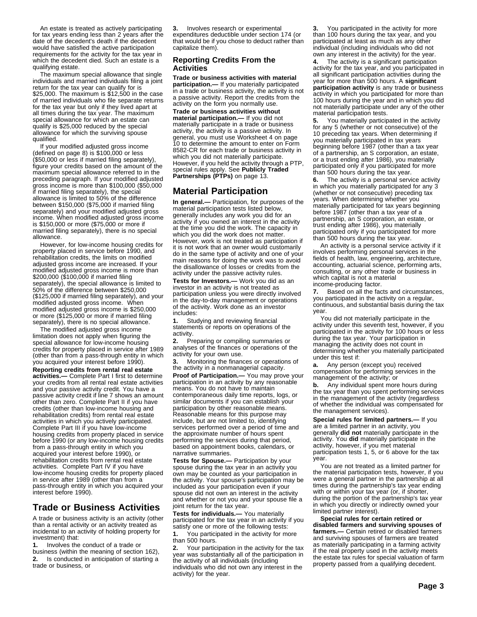An estate is treated as actively participating for tax years ending less than 2 years after the date of the decedent's death if the decedent would have satisfied the active participation requirements for the activity for the tax year in which the decedent died. Such an estate is a qualifying estate.

The maximum special allowance that single individuals and married individuals filing a joint return for the tax year can qualify for is \$25,000. The maximum is \$12,500 in the case of married individuals who file separate returns for the tax year but only if they lived apart at all times during the tax year. The maximum special allowance for which an estate can qualify is \$25,000 reduced by the special allowance for which the surviving spouse qualified.

If your modified adjusted gross income (defined on page 8) is \$100,000 or less (\$50,000 or less if married filing separately), figure your credits based on the amount of the maximum special allowance referred to in the preceding paragraph. If your modified adjusted gross income is more than \$100,000 (\$50,000 if married filing separately), the special allowance is limited to 50% of the difference between \$150,000 (\$75,000 if married filing separately) and your modified adjusted gross income. When modified adjusted gross income is \$150,000 or more (\$75,000 or more if married filing separately), there is no special allowance.

However, for low-income housing credits for property placed in service before 1990, and rehabilitation credits, the limits on modified adjusted gross income are increased. If your modified adjusted gross income is more than \$200,000 (\$100,000 if married filing separately), the special allowance is limited to 50% of the difference between \$250,000 (\$125,000 if married filing separately), and your modified adjusted gross income. When modified adjusted gross income is \$250,000 or more (\$125,000 or more if married filing separately), there is no special allowance.

The modified adjusted gross income limitation does not apply when figuring the special allowance for low-income housing credits for property placed in service after 1989 (other than from a pass-through entity in which you acquired your interest before 1990).

**Reporting credits from rental real estate activities.—** Complete Part I first to determine your credits from all rental real estate activities and your passive activity credit. You have a passive activity credit if line 7 shows an amount other than zero. Complete Part II if you have credits (other than low-income housing and rehabilitation credits) from rental real estate activities in which you actively participated. Complete Part III if you have low-income housing credits from property placed in service before 1990 (or any low-income housing credits from a pass-through entity in which you acquired your interest before 1990), or rehabilitation credits from rental real estate activities. Complete Part IV if you have low-income housing credits for property placed in service after 1989 (other than from a pass-through entity in which you acquired your interest before 1990).

### **Trade or Business Activities**

A trade or business activity is an activity (other than a rental activity or an activity treated as incidental to an activity of holding property for investment) that:

 **1.** Involves the conduct of a trade or business (within the meaning of section 162),  **2.** Is conducted in anticipation of starting a trade or business, or

 **3.** Involves research or experimental expenditures deductible under section 174 (or that would be if you chose to deduct rather than capitalize them).

### **Reporting Credits From the Activities**

**Trade or business activities with material participation.—** If you materially participated in a trade or business activity, the activity is not a passive activity. Report the credits from the activity on the form you normally use.

**Trade or business activities without material participation.—** If you did not materially participate in a trade or business activity, the activity is a passive activity. In general, you must use Worksheet 4 on page 10 to determine the amount to enter on Form 8582-CR for each trade or business activity in which you did not materially participate. However, if you held the activity through a PTP, special rules apply. See **Publicly Traded Partnerships (PTPs)** on page 13.

### **Material Participation**

**In general.—** Participation, for purposes of the material participation tests listed below, generally includes any work you did for an activity if you owned an interest in the activity at the time you did the work. The capacity in which you did the work does not matter. However, work is not treated as participation if it is not work that an owner would customarily do in the same type of activity and one of your main reasons for doing the work was to avoid the disallowance of losses or credits from the activity under the passive activity rules.

**Tests for Investors.—** Work you did as an investor in an activity is not treated as participation unless you were directly involved in the day-to-day management or operations of the activity. Work done as an investor includes:

 **1.** Studying and reviewing financial statements or reports on operations of the activity.

 **2.** Preparing or compiling summaries or analyses of the finances or operations of the activity for your own use.

 **3.** Monitoring the finances or operations of the activity in a nonmanagerial capacity.

**Proof of Participation.—** You may prove your participation in an activity by any reasonable means. You do not have to maintain contemporaneous daily time reports, logs, or similar documents if you can establish your participation by other reasonable means. Reasonable means for this purpose may include, but are not limited to, identifying services performed over a period of time and the approximate number of hours spent performing the services during that period, based on appointment books, calendars, or narrative summaries.

**Tests for Spouse.—** Participation by your spouse during the tax year in an activity you own may be counted as your participation in the activity. Your spouse's participation may be included as your participation even if your spouse did not own an interest in the activity and whether or not you and your spouse file a joint return for the tax year.

**Tests for individuals.—** You materially participated for the tax year in an activity if you satisfy one or more of the following tests:

You participated in the activity for more than 500 hours.

 **2.** Your participation in the activity for the tax year was substantially all of the participation in the activity of all individuals (including individuals who did not own any interest in the activity) for the year.

 **3.** You participated in the activity for more than 100 hours during the tax year, and you participated at least as much as any other individual (including individuals who did not own any interest in the activity) for the year.

The activity is a significant participation activity for the tax year, and you participated in all significant participation activities during the year for more than 500 hours. A **significant participation activity** is any trade or business activity in which you participated for more than 100 hours during the year and in which you did not materially participate under any of the other material participation tests.

 **5.** You materially participated in the activity for any 5 (whether or not consecutive) of the 10 preceding tax years. When determining if you materially participated in tax years beginning before 1987 (other than a tax year of a partnership, an S corporation, an estate, or a trust ending after 1986), you materially participated only if you participated for more than 500 hours during the tax year.

 **6.** The activity is a personal service activity in which you materially participated for any 3 (whether or not consecutive) preceding tax years. When determining whether you materially participated for tax years beginning before 1987 (other than a tax year of a partnership, an S corporation, an estate, or trust ending after 1986), you materially participated only if you participated for more than 500 hours during the tax year.

An activity is a personal service activity if it involves performing personal services in the fields of health, law, engineering, architecture, accounting, actuarial science, performing arts, consulting, or any other trade or business in which capital is not a material income-producing factor.

 **7.** Based on all the facts and circumstances, you participated in the activity on a regular, continuous, and substantial basis during the tax year.

You did not materially participate in the activity under this seventh test, however, if you participated in the activity for 100 hours or less during the tax year. Your participation in managing the activity does not count in determining whether you materially participated under this test if:

 **a.** Any person (except you) received compensation for performing services in the management of the activity; or

**b.** Any individual spent more hours during the tax year than you spent performing services in the management of the activity (regardless of whether the individual was compensated for the management services).

**Special rules for limited partners.—** If you are a limited partner in an activity, you generally **did not** materially participate in the activity. You **did** materially participate in the activity, however, if you met material participation tests 1, 5, or 6 above for the tax year.

You are not treated as a limited partner for the material participation tests, however, if you were a general partner in the partnership at all times during the partnership's tax year ending with or within your tax year (or, if shorter, during the portion of the partnership's tax year in which you directly or indirectly owned your limited partner interest).

**Special rules for certain retired or disabled farmers and surviving spouses of farmers.—** Certain retired or disabled farmers and surviving spouses of farmers are treated as materially participating in a farming activity if the real property used in the activity meets the estate tax rules for special valuation of farm property passed from a qualifying decedent.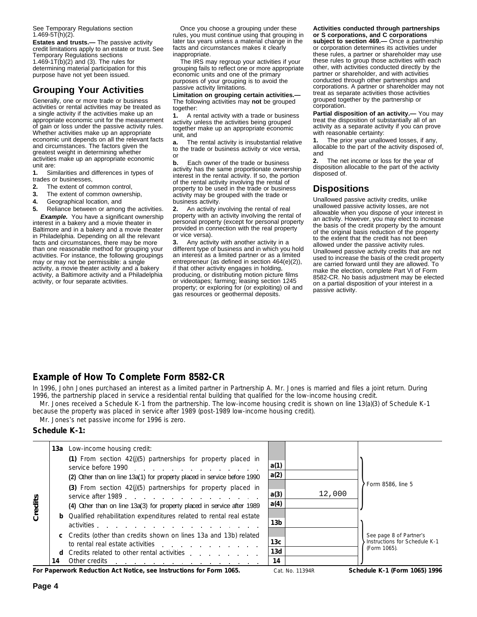See Temporary Regulations section  $1.469 - 5T(h)(2)$ .

**Estates and trusts.—** The passive activity credit limitations apply to an estate or trust. See Temporary Regulations sections 1.469-1 $T(b)(2)$  and (3). The rules for determining material participation for this purpose have not yet been issued.

### **Grouping Your Activities**

Generally, one or more trade or business activities or rental activities may be treated as a single activity if the activities make up an appropriate economic unit for the measurement of gain or loss under the passive activity rules. Whether activities make up an appropriate economic unit depends on all the relevant facts and circumstances. The factors given the greatest weight in determining whether activities make up an appropriate economic unit are:

 **1.** Similarities and differences in types of trades or businesses,

- **2.** The extent of common control,
- **3.** The extent of common ownership,
- **4.** Geographical location, and

 **5.** Reliance between or among the activities. **Example.** You have a significant ownership interest in a bakery and a movie theater in Baltimore and in a bakery and a movie theater in Philadelphia. Depending on all the relevant facts and circumstances, there may be more than one reasonable method for grouping your activities. For instance, the following groupings may or may not be permissible: a single activity, a movie theater activity and a bakery activity, a Baltimore activity and a Philadelphia activity, or four separate activities.

Once you choose a grouping under these rules, you must continue using that grouping in later tax years unless a material change in the facts and circumstances makes it clearly inappropriate.

The IRS may regroup your activities if your grouping fails to reflect one or more appropriate economic units and one of the primary purposes of your grouping is to avoid the passive activity limitations.

**Limitation on grouping certain activities.—** The following activities may **not** be grouped together:

 **1.** A rental activity with a trade or business activity unless the activities being grouped together make up an appropriate economic unit, and

 **a.** The rental activity is insubstantial relative to the trade or business activity or vice versa, or

**b.** Each owner of the trade or business activity has the same proportionate ownership interest in the rental activity. If so, the portion of the rental activity involving the rental of property to be used in the trade or business activity may be grouped with the trade or business activity.

 **2.** An activity involving the rental of real property with an activity involving the rental of personal property (except for personal property provided in connection with the real property or vice versa).

 **3.** Any activity with another activity in a different type of business and in which you hold an interest as a limited partner or as a limited entrepreneur (as defined in section 464(e)(2)), if that other activity engages in holding, producing, or distributing motion picture films or videotapes; farming; leasing section 1245 property; or exploring for (or exploiting) oil and gas resources or geothermal deposits.

### **Activities conducted through partnerships or S corporations, and C corporations**

**subject to section 469.—** Once a partnership or corporation determines its activities under these rules, a partner or shareholder may use these rules to group those activities with each other, with activities conducted directly by the partner or shareholder, and with activities conducted through other partnerships and corporations. A partner or shareholder may not treat as separate activities those activities grouped together by the partnership or corporation.

**Partial disposition of an activity.—** You may treat the disposition of substantially all of an activity as a separate activity if you can prove with reasonable certainty:

 **1.** The prior year unallowed losses, if any, allocable to the part of the activity disposed of, and

 **2.** The net income or loss for the year of disposition allocable to the part of the activity disposed of.

### **Dispositions**

Unallowed passive activity credits, unlike unallowed passive activity losses, are not allowable when you dispose of your interest in an activity. However, you may elect to increase the basis of the credit property by the amount of the original basis reduction of the property to the extent that the credit has not been allowed under the passive activity rules. Unallowed passive activity credits that are not used to increase the basis of the credit property are carried forward until they are allowed. To make the election, complete Part VI of Form 8582-CR. No basis adjustment may be elected on a partial disposition of your interest in a passive activity.

### **Example of How To Complete Form 8582-CR**

In 1996, John Jones purchased an interest as a limited partner in Partnership A. Mr. Jones is married and files a joint return. During 1996, the partnership placed in service a residential rental building that qualified for the low-income housing credit.

Mr. Jones received a Schedule K-1 from the partnership. The low-income housing credit is shown on line 13(a)(3) of Schedule K-1 because the property was placed in service after 1989 (post-1989 low-income housing credit).

Mr. Jones's net passive income for 1996 is zero.

### **Schedule K-1:**

|         |    | <b>13a</b> Low-income housing credit:                                                                                                                                                                                                                                                                          |                 |        |                                                          |
|---------|----|----------------------------------------------------------------------------------------------------------------------------------------------------------------------------------------------------------------------------------------------------------------------------------------------------------------|-----------------|--------|----------------------------------------------------------|
|         |    | (1) From section $42(j)(5)$ partnerships for property placed in<br>service before 1990                                                                                                                                                                                                                         | a(1)            |        |                                                          |
|         |    | (2) Other than on line 13a(1) for property placed in service before 1990                                                                                                                                                                                                                                       | a(2)            |        |                                                          |
| Credits |    | (3) From section $42(j)(5)$ partnerships for property placed in<br>service after 1989.                                                                                                                                                                                                                         | a(3)            | 12,000 | Form 8586, line 5                                        |
|         |    | (4) Other than on line 13a(3) for property placed in service after 1989                                                                                                                                                                                                                                        | a(4)            |        |                                                          |
|         |    | <b>b</b> Qualified rehabilitation expenditures related to rental real estate<br>activities example and the set of the set of the set of the set of the set of the set of the set of the set of the set of the set of the set of the set of the set of the set of the set of the set of the set of the set of t | 13 <sub>b</sub> |        |                                                          |
|         |    | c Credits (other than credits shown on lines 13a and 13b) related<br>to rental real estate activities                                                                                                                                                                                                          | 13c             |        | See page 8 of Partner's<br>Instructions for Schedule K-1 |
|         |    | d Credits related to other rental activities expansion of the contract of the contract of the contract of the contract of the contract of the contract of the contract of the contract of the contract of the contract of the                                                                                  | 13d             |        | (Form 1065).                                             |
|         | 14 | Other credits<br>the contract of the contract of the contract of the contract of<br>$\mathbf{r}$ , and $\mathbf{r}$ , and $\mathbf{r}$ , and $\mathbf{r}$ , and $\mathbf{r}$ , and $\mathbf{r}$ , and $\mathbf{r}$                                                                                             | 14              |        |                                                          |

**For Paperwork Reduction Act Notice, see Instructions for Form 1065.** Scherk Mo. 11394R Schedule K-1 (Form 1065) 1996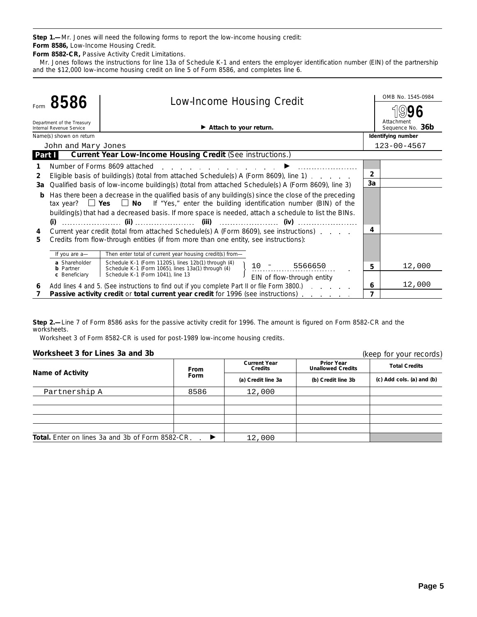**Step 1.—**Mr. Jones will need the following forms to report the low-income housing credit: **Form 8586,** Low-Income Housing Credit.

**Form 8582-CR,** Passive Activity Credit Limitations.

Mr. Jones follows the instructions for line 13a of Schedule K-1 and enters the employer identification number (EIN) of the partnership and the \$12,000 low-income housing credit on line 5 of Form 8586, and completes line 6.

|                | 8586                                                   | <b>Low-Income Housing Credit</b>                                                                                                                 |                | OMB No. 1545-0984              |
|----------------|--------------------------------------------------------|--------------------------------------------------------------------------------------------------------------------------------------------------|----------------|--------------------------------|
|                |                                                        |                                                                                                                                                  |                |                                |
|                | Department of the Treasury<br>Internal Revenue Service | $\blacktriangleright$ Attach to your return.                                                                                                     |                | Attachment<br>Sequence No. 36b |
|                | Name(s) shown on return                                |                                                                                                                                                  |                | Identifying number             |
|                | John and Mary Jones                                    |                                                                                                                                                  |                | $123 - 00 - 4567$              |
| Part I         |                                                        | Current Year Low-Income Housing Credit (See instructions.)                                                                                       |                |                                |
|                |                                                        | Number of Forms 8609 attached<br>and the state of the state of the state of the state of the state of the state of the state of the state of the |                |                                |
| $\overline{2}$ |                                                        | Eligible basis of building(s) (total from attached Schedule(s) A (Form 8609), line 1)                                                            | $\overline{2}$ |                                |
| За             |                                                        | Qualified basis of low-income building(s) (total from attached Schedule(s) A (Form 8609), line 3)                                                | 3a             |                                |
| b              |                                                        | Has there been a decrease in the qualified basis of any building(s) since the close of the preceding                                             |                |                                |
|                |                                                        | tax year? $\Box$ Yes $\Box$ No If "Yes," enter the building identification number (BIN) of the                                                   |                |                                |
|                |                                                        | building(s) that had a decreased basis. If more space is needed, attach a schedule to list the BINs.                                             |                |                                |
|                |                                                        |                                                                                                                                                  |                |                                |
| 4              |                                                        | Current year credit (total from attached Schedule(s) A (Form 8609), see instructions).                                                           | 4              |                                |
| 5              |                                                        | Credits from flow-through entities (if from more than one entity, see instructions):                                                             |                |                                |
|                |                                                        |                                                                                                                                                  |                |                                |
|                | If you are a-                                          | Then enter total of current year housing credit(s) from-                                                                                         |                |                                |
|                | a Shareholder<br><b>b</b> Partner                      | Schedule K-1 (Form 1120S), lines 12b(1) through (4)<br>$10 - 5566650$<br>Schedule K-1 (Form 1065), lines 13a(1) through (4)                      | 5              | 12,000                         |
|                | c Beneficiary                                          | Schedule K-1 (Form 1041), line 13<br>EIN of flow-through entity                                                                                  |                |                                |
| 6              |                                                        | Add lines 4 and 5. (See instructions to find out if you complete Part II or file Form 3800.)                                                     | 6              | 12,000                         |
|                |                                                        | Passive activity credit or total current year credit for 1996 (see instructions)                                                                 | 7              |                                |

**Step 2.—**Line 7 of Form 8586 asks for the passive activity credit for 1996. The amount is figured on Form 8582-CR and the worksheets.

Worksheet 3 of Form 8582-CR is used for post-1989 low-income housing credits.

### **Worksheet 3 for Lines 3a and 3b**

| Worksheet 3 for Lines 3a and 3b                         |             |                                                             | (keep for your records)                       |                           |
|---------------------------------------------------------|-------------|-------------------------------------------------------------|-----------------------------------------------|---------------------------|
| <b>Name of Activity</b>                                 | From        | <b>Current Year</b><br><b>Credits</b><br>(a) Credit line 3a | <b>Prior Year</b><br><b>Unallowed Credits</b> | <b>Total Credits</b>      |
|                                                         | <b>Form</b> |                                                             | (b) Credit line 3b                            | (c) Add cols. (a) and (b) |
| Partnership A                                           | 8586        | 12,000                                                      |                                               |                           |
|                                                         |             |                                                             |                                               |                           |
|                                                         |             |                                                             |                                               |                           |
|                                                         |             |                                                             |                                               |                           |
|                                                         |             |                                                             |                                               |                           |
| <b>Total.</b> Enter on lines 3a and 3b of Form 8582-CR. | ▶           | 12,000                                                      |                                               |                           |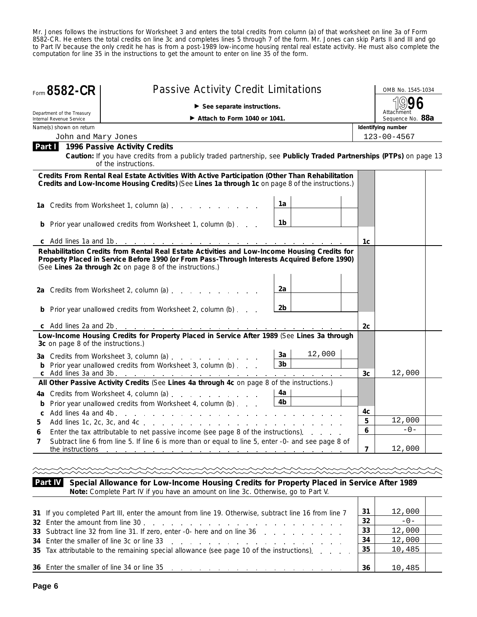Mr. Jones follows the instructions for Worksheet 3 and enters the total credits from column (a) of that worksheet on line 3a of Form 8582-CR. He enters the total credits on line 3c and completes lines 5 through 7 of the form. Mr. Jones can skip Parts II and III and go to Part IV because the only credit he has is from a post-1989 low-income housing rental real estate activity. He must also complete the computation for line 35 in the instructions to get the amount to enter on line 35 of the form.

| Form 8582-CR                                                                                                                                                                                        | <b>Passive Activity Credit Limitations</b>                                                                                                                                                                                                               |                      |        |    | OMB No. 1545-1034              |  |  |
|-----------------------------------------------------------------------------------------------------------------------------------------------------------------------------------------------------|----------------------------------------------------------------------------------------------------------------------------------------------------------------------------------------------------------------------------------------------------------|----------------------|--------|----|--------------------------------|--|--|
|                                                                                                                                                                                                     | See separate instructions.                                                                                                                                                                                                                               |                      |        |    |                                |  |  |
| Department of the Treasury<br>Internal Revenue Service                                                                                                                                              | Attach to Form 1040 or 1041.                                                                                                                                                                                                                             |                      |        |    | Attachment<br>Sequence No. 88a |  |  |
| Name(s) shown on return                                                                                                                                                                             |                                                                                                                                                                                                                                                          |                      |        |    | Identifying number             |  |  |
| John and Mary Jones                                                                                                                                                                                 |                                                                                                                                                                                                                                                          |                      |        |    | $123 - 00 - 4567$              |  |  |
| Part II                                                                                                                                                                                             | 1996 Passive Activity Credits<br>Caution: If you have credits from a publicly traded partnership, see Publicly Traded Partnerships (PTPs) on page 13<br>of the instructions.                                                                             |                      |        |    |                                |  |  |
| Credits From Rental Real Estate Activities With Active Participation (Other Than Rehabilitation<br>Credits and Low-Income Housing Credits) (See Lines 1a through 1c on page 8 of the instructions.) |                                                                                                                                                                                                                                                          |                      |        |    |                                |  |  |
|                                                                                                                                                                                                     | 1a Credits from Worksheet 1, column (a)                                                                                                                                                                                                                  | 1a                   |        |    |                                |  |  |
|                                                                                                                                                                                                     | <b>b</b> Prior year unallowed credits from Worksheet 1, column (b)                                                                                                                                                                                       | 1b                   |        |    |                                |  |  |
|                                                                                                                                                                                                     |                                                                                                                                                                                                                                                          |                      |        | 1c |                                |  |  |
|                                                                                                                                                                                                     | Rehabilitation Credits from Rental Real Estate Activities and Low-Income Housing Credits for<br>Property Placed in Service Before 1990 (or From Pass-Through Interests Acquired Before 1990)<br>(See Lines 2a through 2c on page 8 of the instructions.) |                      |        |    |                                |  |  |
|                                                                                                                                                                                                     | 2a Credits from Worksheet 2, column (a)                                                                                                                                                                                                                  | 2a                   |        |    |                                |  |  |
|                                                                                                                                                                                                     | <b>b</b> Prior year unallowed credits from Worksheet 2, column (b)                                                                                                                                                                                       | 2b                   |        |    |                                |  |  |
|                                                                                                                                                                                                     |                                                                                                                                                                                                                                                          |                      |        | 2c |                                |  |  |
| 3c on page 8 of the instructions.)                                                                                                                                                                  | Low-Income Housing Credits for Property Placed in Service After 1989 (See Lines 3a through                                                                                                                                                               |                      |        |    |                                |  |  |
|                                                                                                                                                                                                     | 3a Credits from Worksheet 3, column (a)<br><b>b</b> Prior year unallowed credits from Worksheet 3, column (b)                                                                                                                                            | 3a<br>3 <sub>b</sub> | 12,000 |    |                                |  |  |
|                                                                                                                                                                                                     | c Add lines 3a and 3b. <u>.</u>                                                                                                                                                                                                                          |                      |        | 3c | 12,000                         |  |  |
|                                                                                                                                                                                                     | All Other Passive Activity Credits (See Lines 4a through 4c on page 8 of the instructions.)                                                                                                                                                              |                      |        |    |                                |  |  |
|                                                                                                                                                                                                     | 4a Credits from Worksheet 4, column (a)                                                                                                                                                                                                                  | 4a<br>4b             |        |    |                                |  |  |
| b                                                                                                                                                                                                   | Prior year unallowed credits from Worksheet 4, column (b)                                                                                                                                                                                                |                      |        | 4c |                                |  |  |
| 5                                                                                                                                                                                                   |                                                                                                                                                                                                                                                          |                      |        | 5  | 12,000                         |  |  |
| 6                                                                                                                                                                                                   | Enter the tax attributable to net passive income (see page 8 of the instructions).                                                                                                                                                                       |                      |        | 6  | $-0-$                          |  |  |
| 7                                                                                                                                                                                                   | Subtract line 6 from line 5. If line 6 is more than or equal to line 5, enter -0- and see page 8 of                                                                                                                                                      |                      |        | 7  | 12,000                         |  |  |
|                                                                                                                                                                                                     |                                                                                                                                                                                                                                                          |                      |        |    |                                |  |  |

**Part IV Special Allowance for Low-Income Housing Credits for Property Placed in Service After 1989 Note:** *Complete Part IV if you have an amount on line 3c. Otherwise, go to Part V.*  $\top$ т

| 31 If you completed Part III, enter the amount from line 19. Otherwise, subtract line 16 from line 7<br>32 Enter the amount from line 30 | 31<br>32 | 12,000<br>$-0-$ |  |
|------------------------------------------------------------------------------------------------------------------------------------------|----------|-----------------|--|
| 33 Subtract line 32 from line 31. If zero, enter -0- here and on line 36                                                                 | 33       | 12,000          |  |
|                                                                                                                                          | -34      | 12,000          |  |
| 35 Tax attributable to the remaining special allowance (see page 10 of the instructions). $\therefore$ $\therefore$ 35                   |          | 10,485          |  |
|                                                                                                                                          | -36      | 10,485          |  |

 $\top$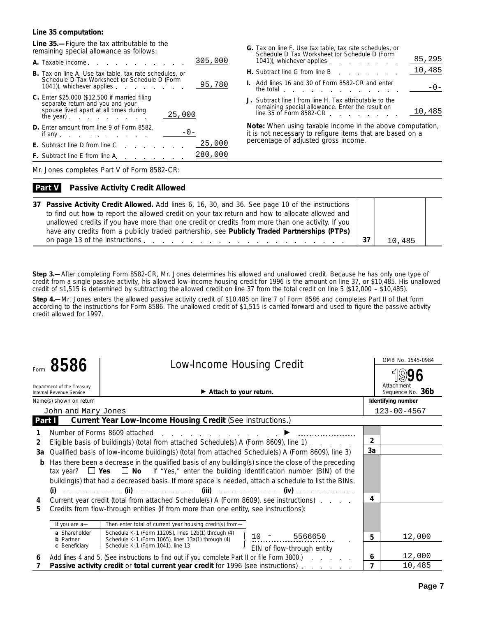#### **Line 35 computation:**

**Line 35.—**Figure the tax attributable to the remaining special allowance as follows:

| A. Taxable income.                                                                                                                                                                                                                                                                                                                                                             | 305,000 |
|--------------------------------------------------------------------------------------------------------------------------------------------------------------------------------------------------------------------------------------------------------------------------------------------------------------------------------------------------------------------------------|---------|
| <b>B.</b> Tax on line A. Use tax table, tax rate schedules, or<br>Schedule D Tax Worksheet (or Schedule D (Form<br>1041), whichever applies                                                                                                                                                                                                                                    | 95,780  |
| <b>C.</b> Enter \$25,000 (\$12,500 if married filing<br>separate return and you and your<br>spouse lived apart at all times during<br>25,000<br>the year) the year and the year and the year of the set of the set of the set of the set of the set of the set of the set of the set of the set of the set of the set of the set of the set of the set of the set of the set o |         |
| <b>D.</b> Enter amount from line 9 of Form 8582,<br>if any.<br>and the company of the company of the company of the company of the company of the company of                                                                                                                                                                                                                   |         |
| <b>E.</b> Subtract line D from line C<br>and the control                                                                                                                                                                                                                                                                                                                       | 25,000  |
| <b>F.</b> Subtract line E from line A.                                                                                                                                                                                                                                                                                                                                         | 280,000 |
|                                                                                                                                                                                                                                                                                                                                                                                |         |

| <b>G.</b> Tax on line F. Use tax table, tax rate schedules, or<br>Schedule D Tax Worksheet (or Schedule D (Form<br>1041)), whichever applies | 85,295 |
|----------------------------------------------------------------------------------------------------------------------------------------------|--------|
| <b>H.</b> Subtract line G from line B entitled a set of the Subtract line G from line B                                                      | 10,485 |
| <b>I.</b> Add lines 16 and 30 of Form 8582-CR and enter<br>the total the total<br>and the company of the company of                          |        |
| J. Subtract line I from line H. Tax attributable to the<br>remaining special allowance. Enter the result on<br>line 35 of Form 8582-CR       | 10,485 |

**Note:** *When using taxable income in the above computation, it is not necessary to refigure items that are based on a percentage of adjusted gross income.*

Mr. Jones completes Part V of Form 8582-CR:

#### **Passive Activity Credit Allowed Part V**

| 37 Passive Activity Credit Allowed. Add lines 6, 16, 30, and 36. See page 10 of the instructions  |        |  |
|---------------------------------------------------------------------------------------------------|--------|--|
| to find out how to report the allowed credit on your tax return and how to allocate allowed and   |        |  |
| unallowed credits if you have more than one credit or credits from more than one activity. If you |        |  |
| have any credits from a publicly traded partnership, see Publicly Traded Partnerships (PTPs)      |        |  |
|                                                                                                   | 10,485 |  |

**Step 3.—**After completing Form 8582-CR, Mr. Jones determines his allowed and unallowed credit. Because he has only one type of credit from a single passive activity, his allowed low-income housing credit for 1996 is the amount on line 37, or \$10,485. His unallowed credit of \$1,515 is determined by subtracting the allowed credit on line 37 from the total credit on line 5 (\$12,000 – \$10,485).

**Step 4.—**Mr. Jones enters the allowed passive activity credit of \$10,485 on line 7 of Form 8586 and completes Part II of that form according to the instructions for Form 8586. The unallowed credit of \$1,515 is carried forward and used to figure the passive activity credit allowed for 1997.

|                | 8586                                                   | <b>Low-Income Housing Credit</b>                                                                                                                                                                                                                                                                                                                                                                         |                | OMB No. 1545-0984              |
|----------------|--------------------------------------------------------|----------------------------------------------------------------------------------------------------------------------------------------------------------------------------------------------------------------------------------------------------------------------------------------------------------------------------------------------------------------------------------------------------------|----------------|--------------------------------|
|                |                                                        |                                                                                                                                                                                                                                                                                                                                                                                                          |                |                                |
|                | Department of the Treasury<br>Internal Revenue Service | $\blacktriangleright$ Attach to your return.                                                                                                                                                                                                                                                                                                                                                             |                | Attachment<br>Sequence No. 36b |
|                | Name(s) shown on return                                |                                                                                                                                                                                                                                                                                                                                                                                                          |                | Identifying number             |
|                | John and Mary Jones                                    |                                                                                                                                                                                                                                                                                                                                                                                                          |                | $123 - 00 - 4567$              |
| Part I         |                                                        | <b>Current Year Low-Income Housing Credit (See instructions.)</b>                                                                                                                                                                                                                                                                                                                                        |                |                                |
|                |                                                        | Number of Forms 8609 attached                                                                                                                                                                                                                                                                                                                                                                            |                |                                |
| $\overline{2}$ |                                                        | Eligible basis of building(s) (total from attached Schedule(s) A (Form 8609), line 1)                                                                                                                                                                                                                                                                                                                    | $\overline{2}$ |                                |
| 3a             |                                                        | Qualified basis of low-income building(s) (total from attached Schedule(s) A (Form 8609), line 3)                                                                                                                                                                                                                                                                                                        | 3a             |                                |
| b<br>4         | (i)                                                    | Has there been a decrease in the qualified basis of any building(s) since the close of the preceding<br>tax year? $\Box$ Yes $\Box$ No If "Yes," enter the building identification number (BIN) of the<br>building(s) that had a decreased basis. If more space is needed, attach a schedule to list the BINs.<br>Current year credit (total from attached Schedule(s) A (Form 8609), see instructions). | 4              |                                |
| 5              |                                                        | Credits from flow-through entities (if from more than one entity, see instructions):                                                                                                                                                                                                                                                                                                                     |                |                                |
|                | If you are a-                                          | Then enter total of current year housing credit(s) from-                                                                                                                                                                                                                                                                                                                                                 |                |                                |
|                | a Shareholder<br><b>b</b> Partner                      | Schedule K-1 (Form 1120S), lines 12b(1) through (4)<br>$10 - 5566650$<br>Schedule K-1 (Form 1065), lines 13a(1) through (4)                                                                                                                                                                                                                                                                              | 5              | 12,000                         |
|                | c Beneficiary                                          | Schedule K-1 (Form 1041), line 13<br>EIN of flow-through entity                                                                                                                                                                                                                                                                                                                                          |                |                                |
| 6              |                                                        | Add lines 4 and 5. (See instructions to find out if you complete Part II or file Form 3800.)                                                                                                                                                                                                                                                                                                             | 6              | 12,000                         |
|                |                                                        | <b>Passive activity credit or total current year credit for 1996 (see instructions)</b>                                                                                                                                                                                                                                                                                                                  | $\overline{7}$ | 10,485                         |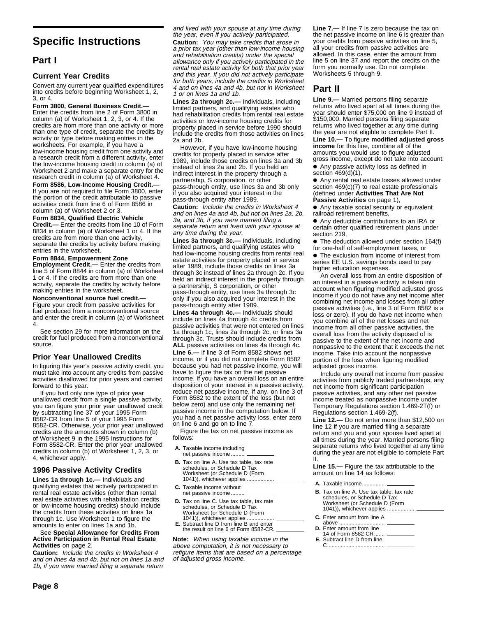### **Specific Instructions**

### **Part I**

#### **Current Year Credits**

Convert any current year qualified expenditures into credits before beginning Worksheet 1, 2, 3, or 4.

**Form 3800, General Business Credit.—**

Enter the credits from line 2 of Form 3800 in column (a) of Worksheet 1, 2, 3, or 4. If the credits are from more than one activity or more than one type of credit, separate the credits by activity or type before making entries in the worksheets. For example, if you have a low-income housing credit from one activity and a research credit from a different activity, enter the low-income housing credit in column (a) of Worksheet 2 and make a separate entry for the research credit in column (a) of Worksheet 4.

**Form 8586, Low-Income Housing Credit.—** If you are not required to file Form 3800, enter the portion of the credit attributable to passive activities credit from line 6 of Form 8586 in column (a) of Worksheet 2 or 3.

**Form 8834, Qualified Electric Vehicle**

**Credit.—** Enter the credits from line 10 of Form 8834 in column (a) of Worksheet 1 or 4. If the credits are from more than one activity, separate the credits by activity before making entries in the worksheet.

**Form 8844, Empowerment Zone Employment Credit.—** Enter the credits from line 5 of Form 8844 in column (a) of Worksheet 1 or 4. If the credits are from more than one activity, separate the credits by activity before making entries in the worksheet.

**Nonconventional source fuel credit.—** Figure your credit from passive activities for fuel produced from a nonconventional source and enter the credit in column (a) of Worksheet 4.

See section 29 for more information on the credit for fuel produced from a nonconventional source.

### **Prior Year Unallowed Credits**

In figuring this year's passive activity credit, you must take into account any credits from passive activities disallowed for prior years and carried forward to this year.

If you had only one type of prior year unallowed credit from a single passive activity, you can figure your prior year unallowed credit by subtracting line 37 of your 1995 Form 8582-CR from line 5 of your 1995 Form 8582-CR. Otherwise, your prior year unallowed credits are the amounts shown in column (b) of Worksheet 9 in the 1995 Instructions for Form 8582-CR. Enter the prior year unallowed credits in column (b) of Worksheet 1, 2, 3, or 4, whichever apply.

### **1996 Passive Activity Credits**

**Lines 1a through 1c.—** Individuals and qualifying estates that actively participated in rental real estate activities (other than rental real estate activities with rehabilitation credits or low-income housing credits) should include the credits from these activities on lines 1a through 1c. Use Worksheet 1 to figure the amounts to enter on lines 1a and 1b.

See **Special Allowance for Credits From Active Participation in Rental Real Estate Activities** on page 2.

**Caution:** Include the credits in Worksheet 4 and on lines 4a and 4b, but not on lines 1a and 1b, if you were married filing a separate return

and lived with your spouse at any time during the year, even if you actively participated.

**Caution:** You may take credits that arose in a prior tax year (other than low-income housing and rehabilitation credits) under the special allowance only if you actively participated in the rental real estate activity for both that prior year and this year. If you did not actively participate for both years, include the credits in Worksheet 4 and on lines 4a and 4b, but not in Worksheet 1 or on lines 1a and 1b.

**Lines 2a through 2c.—** Individuals, including limited partners, and qualifying estates who had rehabilitation credits from rental real estate activities or low-income housing credits for property placed in service before 1990 should include the credits from those activities on lines 2a and 2b.

However, if you have low-income housing credits for property placed in service after 1989, include those credits on lines 3a and 3b instead of lines 2a and 2b. If you held an indirect interest in the property through a partnership, S corporation, or other pass-through entity, use lines 3a and 3b only if you also acquired your interest in the pass-through entity after 1989.

**Caution:** Include the credits in Worksheet 4 and on lines 4a and 4b, but not on lines 2a, 2b, 3a, and 3b, if you were married filing a separate return and lived with your spouse at any time during the year.

**Lines 3a through 3c.—** Individuals, including limited partners, and qualifying estates who had low-income housing credits from rental real estate activities for property placed in service after 1989, include those credits on lines 3a through 3c instead of lines 2a through 2c. If you held an indirect interest in the property through a partnership, S corporation, or other pass-through entity, use lines 3a through 3c only if you also acquired your interest in the pass-through entity after 1989.

**Lines 4a through 4c.—** Individuals should include on lines 4a through 4c credits from passive activities that were not entered on lines 1a through 1c, lines 2a through 2c, or lines 3a through 3c. Trusts should include credits from **ALL** passive activities on lines 4a through 4c.

**Line 6.—** If line 3 of Form 8582 shows net income, or if you did not complete Form 8582 because you had net passive income, you will have to figure the tax on the net passive income. If you have an overall loss on an entire disposition of your interest in a passive activity, reduce net passive income, if any, on line 3 of Form 8582 to the extent of the loss (but not below zero) and use only the remaining net passive income in the computation below. If you had a net passive activity loss, enter zero on line 6 and go on to line 7.

Figure the tax on net passive income as follows:

- **A.** Taxable income including net passive income ....
- **B.** Tax on line A. Use tax table, tax rate schedules, or Schedule D Tax Worksheet (or Schedule D (Form 1041)), whichever applies .................. **A.** Taxable income............... **C.** Taxable income without
- 
- **D.** Tax on line C. Use tax table, tax rate schedules, or Schedule D Tax Worksheet (or Schedule D (Form 1041)), whichever applies .................. **C.** Enter amount from line A
- **E.** Subtract line D from line B and enter above .............................. the result on line 6 of Form 8582-CR.

**Note:** When using taxable income in the above computation, it is not necessary to refigure items that are based on a percentage of adjusted gross income.

**Line 7.—** If line 7 is zero because the tax on the net passive income on line 6 is greater than your credits from passive activities on line 5, all your credits from passive activities are allowed. In this case, enter the amount from line 5 on line 37 and report the credits on the form you normally use. Do not complete Worksheets 5 through 9.

### **Part II**

**Line 9.—** Married persons filing separate returns who lived apart at all times during the year should enter \$75,000 on line 9 instead of \$150,000. Married persons filing separate returns who lived together at any time during the year are not eligible to complete Part II. **Line 10.—** To figure **modified adjusted gross income** for this line, combine all of the amounts you would use to figure adjusted gross income, except do not take into account: ●A Any passive activity loss as defined in section 469(d)(1),

●A Any rental real estate losses allowed under section 469(c)(7) to real estate professionals (defined under **Activities That Are Not Passive Activities** on page 1),

● Any taxable social security or equivalent railroad retirement benefits,

● Any deductible contributions to an IRA or certain other qualified retirement plans under section 219,

• The deduction allowed under section 164(f) for one-half of self-employment taxes, or

• The exclusion from income of interest from series EE U.S. savings bonds used to pay higher education expenses.

An overall loss from an entire disposition of an interest in a passive activity is taken into account when figuring modified adjusted gross income if you do not have any net income after combining net income and losses from all other passive activities (i.e., line 3 of Form 8582 is a loss or zero). If you do have net income when you combine all of the net losses and net income from all other passive activities, the overall loss from the activity disposed of is passive to the extent of the net income and nonpassive to the extent that it exceeds the net income. Take into account the nonpassive portion of the loss when figuring modified adjusted gross income.

Include any overall net income from passive activities from publicly traded partnerships, any net income from significant participation passive activities, and any other net passive income treated as nonpassive income under Temporary Regulations section 1.469-2T(f) or Regulations section 1.469-2(f).

**Line 12.—** Do not enter more than \$12,500 on line 12 if you are married filing a separate return and you and your spouse lived apart at all times during the year. Married persons filing separate returns who lived together at any time during the year are not eligible to complete Part II.

**Line 15.—** Figure the tax attributable to the amount on line 14 as follows:

- 
- **B.** Tax on line A. Use tax table, tax rate schedules, or Schedule D Tax Worksheet (or Schedule D (Form 1041)), whichever applies.
- 
- 
- 14 of Form 8582-CR.
- **E.** Subtract line D from line C ......................................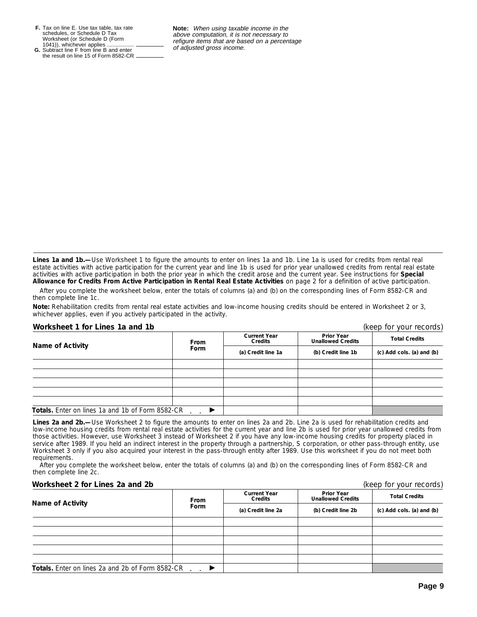**F.** Tax on line E. Use tax table, tax rate schedules, or Schedule D Tax Worksheet (or Schedule D (Form 1041)), whichever applies .................. of adjusted gross income. **G.** Subtract line F from line B and enter

the result on line 15 of Form 8582-CR.

**Note:** When using taxable income in the above computation, it is not necessary to refigure items that are based on a percentage<br>of adjusted gross income.

**Lines 1a and 1b.—**Use Worksheet 1 to figure the amounts to enter on lines 1a and 1b. Line 1a is used for credits from rental real estate activities with active participation for the current year and line 1b is used for prior year unallowed credits from rental real estate activities with active participation in both the prior year in which the credit arose and the current year. See instructions for **Special Allowance for Credits From Active Participation in Rental Real Estate Activities** on page 2 for a definition of active participation.

After you complete the worksheet below, enter the totals of columns (a) and (b) on the corresponding lines of Form 8582-CR and then complete line 1c.

**Note:** *Rehabilitation credits from rental real estate activities and low-income housing credits should be entered in Worksheet 2 or 3, whichever applies, even if you actively participated in the activity.*

**Worksheet 1 for Lines 1a and 1b** (keep for your records)

| 110111311001 1 101 LIIVJ 101 01101 110<br>$(100)$ for your records, |             |                                |                                               |                                                   |  |
|---------------------------------------------------------------------|-------------|--------------------------------|-----------------------------------------------|---------------------------------------------------|--|
| <b>Name of Activity</b>                                             | <b>From</b> | <b>Current Year</b><br>Credits | <b>Prior Year</b><br><b>Unallowed Credits</b> | <b>Total Credits</b><br>(c) Add cols. (a) and (b) |  |
|                                                                     | <b>Form</b> | (a) Credit line 1a             | (b) Credit line 1b                            |                                                   |  |
|                                                                     |             |                                |                                               |                                                   |  |
|                                                                     |             |                                |                                               |                                                   |  |
|                                                                     |             |                                |                                               |                                                   |  |
|                                                                     |             |                                |                                               |                                                   |  |
|                                                                     |             |                                |                                               |                                                   |  |
| <b>Totals.</b> Enter on lines 1a and 1b of Form 8582-CR             |             |                                |                                               |                                                   |  |

**Lines 2a and 2b.—**Use Worksheet 2 to figure the amounts to enter on lines 2a and 2b. Line 2a is used for rehabilitation credits and low-income housing credits from rental real estate activities for the current year and line 2b is used for prior year unallowed credits from those activities. However, use Worksheet 3 instead of Worksheet 2 if you have any low-income housing credits for property placed in service after 1989. If you held an indirect interest in the property through a partnership, S corporation, or other pass-through entity, use Worksheet 3 only if you also acquired your interest in the pass-through entity after 1989. Use this worksheet if you do not meet both requirements.

After you complete the worksheet below, enter the totals of columns (a) and (b) on the corresponding lines of Form 8582-CR and then complete line 2c.

### **Worksheet 2 for Lines 2a and 2b** (keep for your records)

| Name of Activity                                 | <b>From</b> | <b>Current Year</b><br><b>Credits</b> | <b>Prior Year</b><br><b>Unallowed Credits</b> | <b>Total Credits</b>      |
|--------------------------------------------------|-------------|---------------------------------------|-----------------------------------------------|---------------------------|
|                                                  | <b>Form</b> | (a) Credit line 2a                    | (b) Credit line 2b                            | (c) Add cols. (a) and (b) |
|                                                  |             |                                       |                                               |                           |
|                                                  |             |                                       |                                               |                           |
|                                                  |             |                                       |                                               |                           |
|                                                  |             |                                       |                                               |                           |
|                                                  |             |                                       |                                               |                           |
| Totals. Enter on lines 2a and 2b of Form 8582-CR |             |                                       |                                               |                           |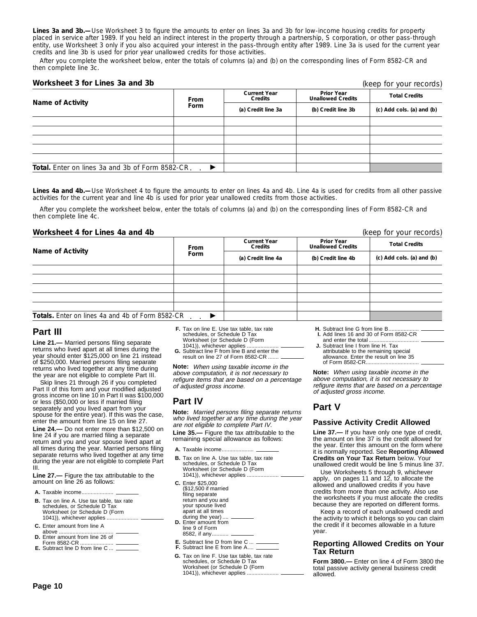**Lines 3a and 3b.—**Use Worksheet 3 to figure the amounts to enter on lines 3a and 3b for low-income housing credits for property placed in service after 1989. If you held an indirect interest in the property through a partnership, S corporation, or other pass-through entity, use Worksheet 3 only if you also acquired your interest in the pass-through entity after 1989. Line 3a is used for the current year credits and line 3b is used for prior year unallowed credits for those activities.

After you complete the worksheet below, enter the totals of columns (a) and (b) on the corresponding lines of Form 8582-CR and then complete line 3c.

#### **Worksheet 3 for Lines 3a and 3b**

| Name of Activity                                        | From<br><b>Form</b> | <b>Current Year</b><br>Credits | <b>Prior Year</b><br><b>Unallowed Credits</b> | <b>Total Credits</b>      |
|---------------------------------------------------------|---------------------|--------------------------------|-----------------------------------------------|---------------------------|
|                                                         |                     | (a) Credit line 3a             | (b) Credit line 3b                            | (c) Add cols. (a) and (b) |
|                                                         |                     |                                |                                               |                           |
|                                                         |                     |                                |                                               |                           |
|                                                         |                     |                                |                                               |                           |
|                                                         |                     |                                |                                               |                           |
|                                                         |                     |                                |                                               |                           |
| <b>Total.</b> Enter on lines 3a and 3b of Form 8582-CR. |                     |                                |                                               |                           |

**Lines 4a and 4b.—**Use Worksheet 4 to figure the amounts to enter on lines 4a and 4b. Line 4a is used for credits from all other passive activities for the current year and line 4b is used for prior year unallowed credits from those activities.

After you complete the worksheet below, enter the totals of columns (a) and (b) on the corresponding lines of Form 8582-CR and then complete line 4c.

#### **Worksheet 4 for Lines 4a and 4b** (keep for your records)

| $(1.000)$ $101$ $100$ $1000$                            |                     |                                |                                               |                           |
|---------------------------------------------------------|---------------------|--------------------------------|-----------------------------------------------|---------------------------|
|                                                         | <b>From</b><br>Form | <b>Current Year</b><br>Credits | <b>Prior Year</b><br><b>Unallowed Credits</b> | <b>Total Credits</b>      |
| <b>Name of Activity</b>                                 |                     | (a) Credit line 4a             | (b) Credit line 4b                            | (c) Add cols. (a) and (b) |
|                                                         |                     |                                |                                               |                           |
|                                                         |                     |                                |                                               |                           |
|                                                         |                     |                                |                                               |                           |
|                                                         |                     |                                |                                               |                           |
|                                                         |                     |                                |                                               |                           |
| <b>Totals.</b> Enter on lines 4a and 4b of Form 8582-CR |                     |                                |                                               |                           |

### **Part III**

**Line 21.—** Married persons filing separate returns who lived apart at all times during the year should enter \$125,000 on line 21 instead of \$250,000. Married persons filing separate returns who lived together at any time during the year are not eligible to complete Part III.

Skip lines 21 through 26 if you completed Part II of this form and your modified adjusted gross income on line 10 in Part II was \$100,000 or less (\$50,000 or less if married filing separately and you lived apart from your spouse for the entire year). If this was the case, enter the amount from line 15 on line 27.

**Line 24.—** Do not enter more than \$12,500 on line 24 if you are married filing a separate return and you and your spouse lived apart at all times during the year. Married persons filing separate returns who lived together at any time during the year are not eligible to complete Part III.

**Line 27.—** Figure the tax attributable to the amount on line 26 as follows:

| <b>B.</b> Tax on line A. Use tax table, tax rate<br>schedules, or Schedule D Tax<br>Worksheet (or Schedule D (Form |
|--------------------------------------------------------------------------------------------------------------------|
| <b>C.</b> Enter amount from line A                                                                                 |
| <b>D.</b> Enter amount from line 26 of                                                                             |

- Form 8582-CR ...................... **E.** Subtract line D from line C ...
- **E.** Subtract line D from line C ... <sub>-</sub>
- **F.** Tax on line E. Use tax table, tax rate schedules, or Schedule D Tax Worksheet (or Schedule D (Form
- 1041)), whichever applies ..................... **G.** Subtract line F from line B and enter the result on line 27 of Form 8582-CR ...

**Note:** When using taxable income in the above computation, it is not necessary to refigure items that are based on a percentage of adjusted gross income.

### **Part IV**

**Note:** Married persons filing separate returns who lived together at any time during the year are not eligible to complete Part IV.

**Line 35.—** Figure the tax attributable to the remaining special allowance as follows:

- **A.** Taxable income.....................
- **B.** Tax on line A. Use tax table, tax rate schedules, or Schedule D Tax Worksheet (or Schedule D (Form 1041)), whichever applies ....
- **C.** Enter \$25,000 (\$12,500 if married filing separate return and you and your spouse lived apart at all times
- during the year) **D.** Enter amount from line 9 of Form 8582, if any.....
- 
- 
- **G.** Tax on line F. Use tax table, tax rate schedules, or Schedule D Tax Worksheet (or Schedule D (Form 1041)), whichever applies ...
- **H.** Subtract line G from line B...
- **I.** Add lines 16 and 30 of Form 8582-CR and enter the total...
- **J.** Subtract line I from line H. Tax attributable to the remaining special allowance. Enter the result on line 35 of Form 8582-CR...

**Note:** When using taxable income in the above computation, it is not necessary to refigure items that are based on a percentage of adjusted gross income.

### **Part V**

### **Passive Activity Credit Allowed**

**Line 37.—** If you have only one type of credit, the amount on line 37 is the credit allowed for the year. Enter this amount on the form where it is normally reported. See **Reporting Allowed Credits on Your Tax Return** below. Your unallowed credit would be line 5 minus line 37.

Use Worksheets 5 through 9, whichever apply, on pages 11 and 12, to allocate the allowed and unallowed credits if you have credits from more than one activity. Also use the worksheets if you must allocate the credits because they are reported on different forms.

Keep a record of each unallowed credit and the activity to which it belongs so you can claim the credit if it becomes allowable in a future year.

### **Reporting Allowed Credits on Your Tax Return**

**Form 3800.—** Enter on line 4 of Form 3800 the total passive activity general business credit allowed.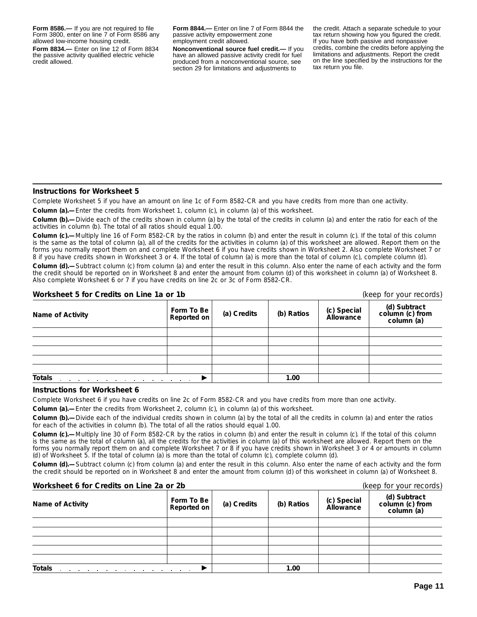**Form 8586.—** If you are not required to file Form 3800, enter on line 7 of Form 8586 any allowed low-income housing credit. **Form 8834.—** Enter on line 12 of Form 8834 the passive activity qualified electric vehicle credit allowed.

**Form 8844.—** Enter on line 7 of Form 8844 the passive activity empowerment zone employment credit allowed.

**Nonconventional source fuel credit.—** If you have an allowed passive activity credit for fuel produced from a nonconventional source, see section 29 for limitations and adjustments to

the credit. Attach a separate schedule to your tax return showing how you figured the credit. If you have both passive and nonpassive credits, combine the credits before applying the limitations and adjustments. Report the credit on the line specified by the instructions for the tax return you file.

#### **Instructions for Worksheet 5**

Complete Worksheet 5 if you have an amount on line 1c of Form 8582-CR and you have credits from more than one activity.

**Column (a).—**Enter the credits from Worksheet 1, column (c), in column (a) of this worksheet.

**Column (b).—**Divide each of the credits shown in column (a) by the total of the credits in column (a) and enter the ratio for each of the activities in column (b). The total of all ratios should equal 1.00.

**Column (c).—**Multiply line 16 of Form 8582-CR by the ratios in column (b) and enter the result in column (c). If the total of this column is the same as the total of column (a), all of the credits for the activities in column (a) of this worksheet are allowed. Report them on the forms you normally report them on and complete Worksheet 6 if you have credits shown in Worksheet 2. Also complete Worksheet 7 or 8 if you have credits shown in Worksheet 3 or 4. If the total of column (a) is more than the total of column (c), complete column (d).

**Column (d).—**Subtract column (c) from column (a) and enter the result in this column. Also enter the name of each activity and the form the credit should be reported on in Worksheet 8 and enter the amount from column (d) of this worksheet in column (a) of Worksheet 8. Also complete Worksheet 6 or 7 if you have credits on line 2c or 3c of Form 8582-CR.

**Worksheet 5 for Credits on Line 1a or 1b** (keep for your records)

| WORSHEEL 3 TOF CREDITS OIL LIFTE THE UP TO                                                |                           |             |            |                          | Treep for Your Tecords)                       |
|-------------------------------------------------------------------------------------------|---------------------------|-------------|------------|--------------------------|-----------------------------------------------|
| <b>Name of Activity</b>                                                                   | Form To Be<br>Reported on | (a) Credits | (b) Ratios | (c) Special<br>Allowance | (d) Subtract<br>column (c) from<br>column (a) |
|                                                                                           |                           |             |            |                          |                                               |
|                                                                                           |                           |             |            |                          |                                               |
|                                                                                           |                           |             |            |                          |                                               |
|                                                                                           |                           |             |            |                          |                                               |
|                                                                                           |                           |             |            |                          |                                               |
| <b>Totals</b><br>the contract of the contract of the contract of the contract of the con- |                           |             | 1.00       |                          |                                               |

#### **Instructions for Worksheet 6**

Complete Worksheet 6 if you have credits on line 2c of Form 8582-CR and you have credits from more than one activity.

**Column (a).—**Enter the credits from Worksheet 2, column (c), in column (a) of this worksheet.

**Column (b).—**Divide each of the individual credits shown in column (a) by the total of all the credits in column (a) and enter the ratios for each of the activities in column (b). The total of all the ratios should equal 1.00.

**Column (c).—**Multiply line 30 of Form 8582-CR by the ratios in column (b) and enter the result in column (c). If the total of this column is the same as the total of column (a), all the credits for the activities in column (a) of this worksheet are allowed. Report them on the forms you normally report them on and complete Worksheet 7 or 8 if you have credits shown in Worksheet 3 or 4 or amounts in column (d) of Worksheet 5. If the total of column (a) is more than the total of column (c), complete column (d).

**Column (d).—**Subtract column (c) from column (a) and enter the result in this column. Also enter the name of each activity and the form the credit should be reported on in Worksheet 8 and enter the amount from column (d) of this worksheet in column (a) of Worksheet 8.

| Worksheet 6 for Credits on Line 2a or 2b                                                  |                                  |             |            |                          | (keep for your records)                       |  |
|-------------------------------------------------------------------------------------------|----------------------------------|-------------|------------|--------------------------|-----------------------------------------------|--|
| <b>Name of Activity</b>                                                                   | Form To Be<br><b>Reported on</b> | (a) Credits | (b) Ratios | (c) Special<br>Allowance | (d) Subtract<br>column (c) from<br>column (a) |  |
|                                                                                           |                                  |             |            |                          |                                               |  |
|                                                                                           |                                  |             |            |                          |                                               |  |
|                                                                                           |                                  |             |            |                          |                                               |  |
|                                                                                           |                                  |             |            |                          |                                               |  |
|                                                                                           |                                  |             |            |                          |                                               |  |
| <b>Totals</b><br>the contract of the contract of the contract of the contract of the con- |                                  |             | 1.00       |                          |                                               |  |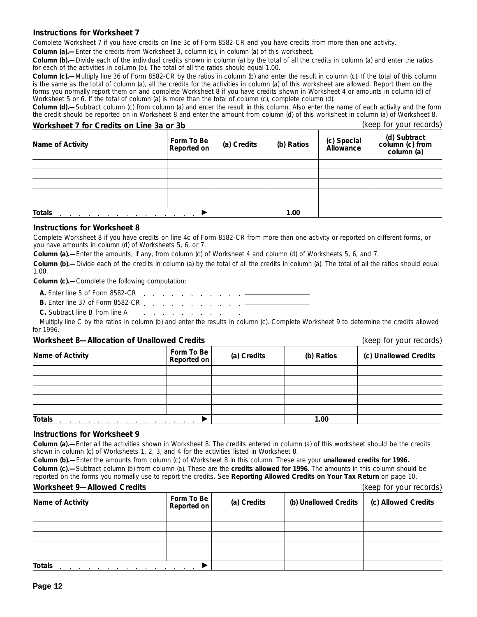### **Instructions for Worksheet 7**

Complete Worksheet 7 if you have credits on line 3c of Form 8582-CR and you have credits from more than one activity.

**Column (a).**—Enter the credits from Worksheet 3, column (c), in column (a) of this worksheet.

**Column (b).—**Divide each of the individual credits shown in column (a) by the total of all the credits in column (a) and enter the ratios for each of the activities in column (b). The total of all the ratios should equal 1.00.

**Column (c).—**Multiply line 36 of Form 8582-CR by the ratios in column (b) and enter the result in column (c). If the total of this column is the same as the total of column (a), all the credits for the activities in column (a) of this worksheet are allowed. Report them on the forms you normally report them on and complete Worksheet 8 if you have credits shown in Worksheet 4 or amounts in column (d) of Worksheet 5 or 6. If the total of column (a) is more than the total of column (c), complete column (d).

**Column (d).—**Subtract column (c) from column (a) and enter the result in this column. Also enter the name of each activity and the form the credit should be reported on in Worksheet 8 and enter the amount from column (d) of this worksheet in column (a) of Worksheet 8.

### **Worksheet 7 for Credits on Line 3a or 3b** (keep for your records)

| <b>Name of Activity</b> | Form To Be<br><b>Reported on</b> | (a) Credits | (b) Ratios | (c) Special<br>Allowance | (d) Subtract<br>column (c) from<br>column (a) |
|-------------------------|----------------------------------|-------------|------------|--------------------------|-----------------------------------------------|
|                         |                                  |             |            |                          |                                               |
|                         |                                  |             |            |                          |                                               |
|                         |                                  |             |            |                          |                                               |
|                         |                                  |             |            |                          |                                               |
|                         |                                  |             |            |                          |                                               |
| <b>Totals</b>           | <b>Contract Contract</b>         |             | 1.00       |                          |                                               |

#### **Instructions for Worksheet 8**

Complete Worksheet 8 if you have credits on line 4c of Form 8582-CR from more than one activity or reported on different forms, or you have amounts in column (d) of Worksheets 5, 6, or 7.

**Column (a).—**Enter the amounts, if any, from column (c) of Worksheet 4 and column (d) of Worksheets 5, 6, and 7.

**Column (b).—**Divide each of the credits in column (a) by the total of all the credits in column (a). The total of all the ratios should equal 1.00.

**Column (c).—**Complete the following computation:

- **A.** Enter line 5 of Form 8582-CR
- **B.** Enter line 37 of Form 8582-CR
- **C.** Subtract line B from line A

Multiply line C by the ratios in column (b) and enter the results in column (c). Complete Worksheet 9 to determine the credits allowed for 1996.

### **Worksheet 8—Allocation of Unallowed Credits** (keep for your records)

|                                                                  |                                          | $\mathbf{v}$ . The set of $\mathbf{v}$ is the set of $\mathbf{v}$ |            |                       |
|------------------------------------------------------------------|------------------------------------------|-------------------------------------------------------------------|------------|-----------------------|
| Name of Activity                                                 | Form To Be<br>Reported on                | (a) Credits                                                       | (b) Ratios | (c) Unallowed Credits |
|                                                                  |                                          |                                                                   |            |                       |
|                                                                  |                                          |                                                                   |            |                       |
|                                                                  |                                          |                                                                   |            |                       |
|                                                                  |                                          |                                                                   |            |                       |
|                                                                  |                                          |                                                                   |            |                       |
| <b>Totals</b><br>the contract of the contract of the contract of | the contract of the contract of the con- |                                                                   | 1.00       |                       |

### **Instructions for Worksheet 9**

**Column (a).—**Enter all the activities shown in Worksheet 8. The credits entered in column (a) of this worksheet should be the credits shown in column (c) of Worksheets 1, 2, 3, and 4 for the activities listed in Worksheet 8.

**Column (b).—**Enter the amounts from column (c) of Worksheet 8 in this column. These are your **unallowed credits for 1996. Column (c).—**Subtract column (b) from column (a). These are the **credits allowed for 1996.** The amounts in this column should be reported on the forms you normally use to report the credits. See **Reporting Allowed Credits on Your Tax Return** on page 10.

### **Worksheet 9—Allowed Credits** (keep for your records)

| $\frac{1}{2}$                                                                    | $(100 \mu)$ ior your records |             |                       |                     |
|----------------------------------------------------------------------------------|------------------------------|-------------|-----------------------|---------------------|
| <b>Name of Activity</b>                                                          | Form To Be<br>Reported on    | (a) Credits | (b) Unallowed Credits | (c) Allowed Credits |
|                                                                                  |                              |             |                       |                     |
|                                                                                  |                              |             |                       |                     |
|                                                                                  |                              |             |                       |                     |
|                                                                                  |                              |             |                       |                     |
|                                                                                  |                              |             |                       |                     |
| <b>Totals</b><br>the contract of the contract of the contract of the contract of |                              |             |                       |                     |